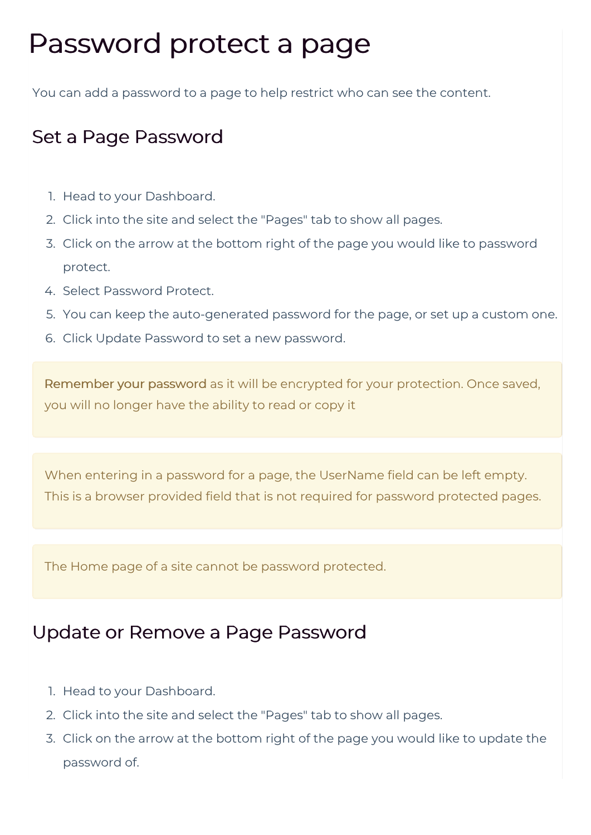## Password protect a page

You can add a password to a page to help restrict who can see the content.

## Set a Page Password

- 1. Head to your Dashboard.
- 2. Click into the site and select the "Pages" tab to show all pages.
- 3. Click on the arrow at the bottom right of the page you would like to password protect.
- 4. Select Password Protect.
- 5. You can keep the auto-generated password for the page, or set up a custom one.
- 6. Click Update Password to set a new password.

Remember your password as it will be encrypted for your protection. Once saved, you will no longer have the ability to read or copy it

When entering in a password for a page, the UserName field can be left empty. This is a browser provided field that is not required for password protected pages.

The Home page of a site cannot be password protected.

## Update or Remove a Page Password

- 1. Head to your Dashboard.
- 2. Click into the site and select the "Pages" tab to show all pages.
- 3. Click on the arrow at the bottom right of the page you would like to update the password of.